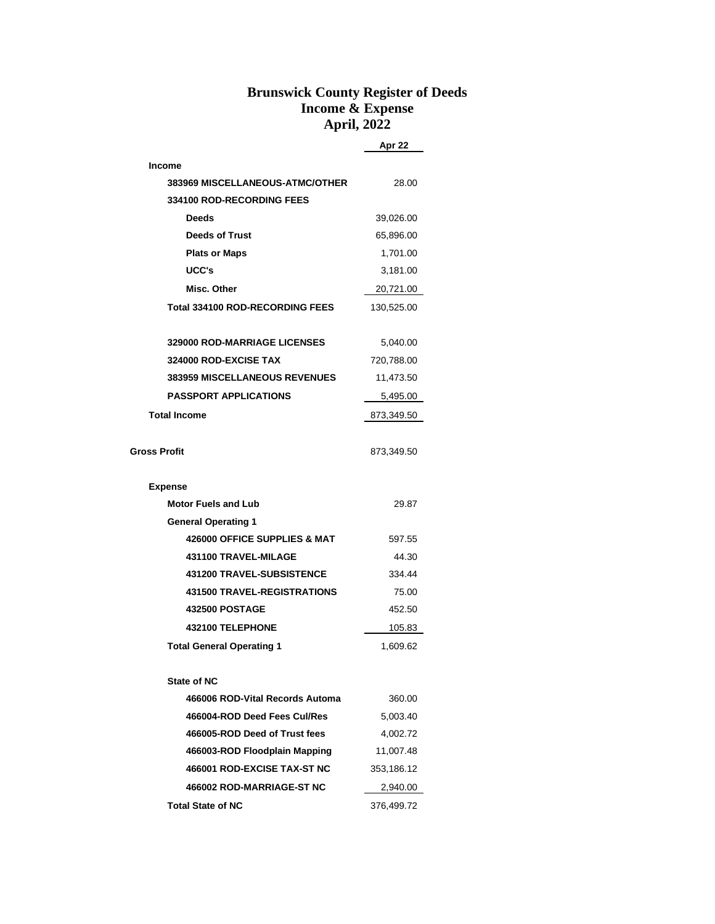## **Brunswick County Register of Deeds Income & Expense April, 2022**

|                                         | Apr 22     |
|-----------------------------------------|------------|
| <b>Income</b>                           |            |
| <b>383969 MISCELLANEOUS-ATMC/OTHER</b>  | 28.00      |
| 334100 ROD-RECORDING FEES               |            |
| Deeds                                   | 39,026.00  |
| <b>Deeds of Trust</b>                   | 65,896.00  |
| <b>Plats or Maps</b>                    | 1,701.00   |
| UCC's                                   | 3,181.00   |
| Misc. Other                             | 20,721.00  |
| <b>Total 334100 ROD-RECORDING FEES</b>  | 130,525.00 |
| <b>329000 ROD-MARRIAGE LICENSES</b>     | 5,040.00   |
| 324000 ROD-EXCISE TAX                   | 720,788.00 |
| <b>383959 MISCELLANEOUS REVENUES</b>    | 11,473.50  |
| <b>PASSPORT APPLICATIONS</b>            | 5,495.00   |
| <b>Total Income</b>                     | 873,349.50 |
| Gross Profit                            | 873,349.50 |
| <b>Expense</b>                          |            |
| <b>Motor Fuels and Lub</b>              | 29.87      |
| <b>General Operating 1</b>              |            |
| <b>426000 OFFICE SUPPLIES &amp; MAT</b> | 597.55     |
| 431100 TRAVEL-MILAGE                    | 44.30      |
| <b>431200 TRAVEL-SUBSISTENCE</b>        | 334.44     |
| <b>431500 TRAVEL-REGISTRATIONS</b>      | 75.00      |
| <b>432500 POSTAGE</b>                   | 452.50     |
| 432100 TELEPHONE                        | 105.83     |
| <b>Total General Operating 1</b>        | 1,609.62   |
| <b>State of NC</b>                      |            |
| 466006 ROD-Vital Records Automa         | 360.00     |
| 466004-ROD Deed Fees Cul/Res            | 5,003.40   |
| 466005-ROD Deed of Trust fees           | 4,002.72   |
| 466003-ROD Floodplain Mapping           | 11,007.48  |
| 466001 ROD-EXCISE TAX-ST NC             | 353,186.12 |
| 466002 ROD-MARRIAGE-ST NC               | 2,940.00   |
| <b>Total State of NC</b>                | 376,499.72 |